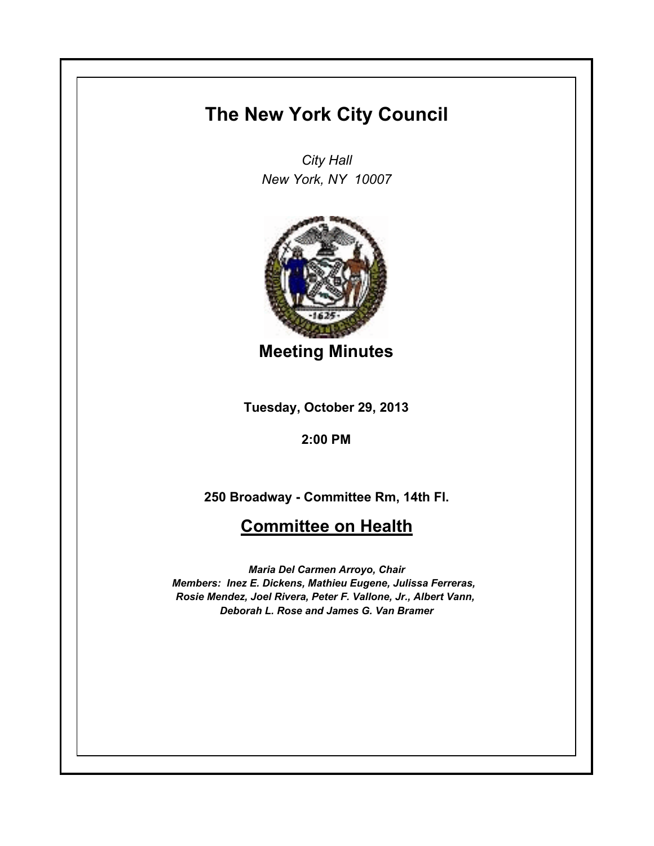## **The New York City Council**

*City Hall New York, NY 10007*



**Meeting Minutes**

**Tuesday, October 29, 2013**

**2:00 PM**

**250 Broadway - Committee Rm, 14th Fl.**

## **Committee on Health**

*Maria Del Carmen Arroyo, Chair Members: Inez E. Dickens, Mathieu Eugene, Julissa Ferreras, Rosie Mendez, Joel Rivera, Peter F. Vallone, Jr., Albert Vann, Deborah L. Rose and James G. Van Bramer*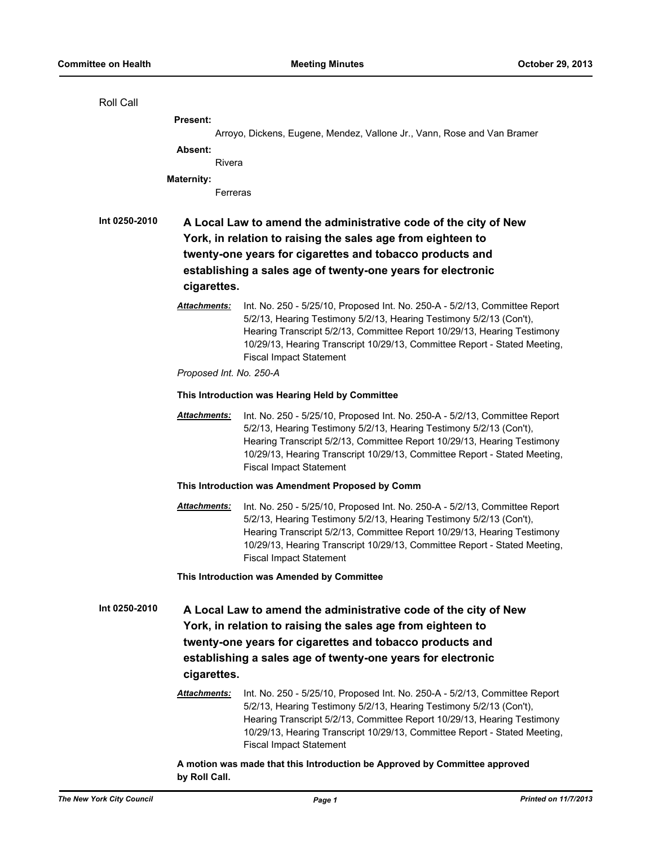| Roll Call     |                                                                                                                                                                                                                                                                          |                                                                                                                                                                                                                                                                                                                                             |  |
|---------------|--------------------------------------------------------------------------------------------------------------------------------------------------------------------------------------------------------------------------------------------------------------------------|---------------------------------------------------------------------------------------------------------------------------------------------------------------------------------------------------------------------------------------------------------------------------------------------------------------------------------------------|--|
|               | Present:                                                                                                                                                                                                                                                                 |                                                                                                                                                                                                                                                                                                                                             |  |
|               |                                                                                                                                                                                                                                                                          | Arroyo, Dickens, Eugene, Mendez, Vallone Jr., Vann, Rose and Van Bramer                                                                                                                                                                                                                                                                     |  |
|               | Absent:                                                                                                                                                                                                                                                                  |                                                                                                                                                                                                                                                                                                                                             |  |
|               | Rivera                                                                                                                                                                                                                                                                   |                                                                                                                                                                                                                                                                                                                                             |  |
|               | <b>Maternity:</b>                                                                                                                                                                                                                                                        |                                                                                                                                                                                                                                                                                                                                             |  |
|               | Ferreras                                                                                                                                                                                                                                                                 |                                                                                                                                                                                                                                                                                                                                             |  |
| Int 0250-2010 | A Local Law to amend the administrative code of the city of New<br>York, in relation to raising the sales age from eighteen to<br>twenty-one years for cigarettes and tobacco products and<br>establishing a sales age of twenty-one years for electronic<br>cigarettes. |                                                                                                                                                                                                                                                                                                                                             |  |
|               | Attachments:                                                                                                                                                                                                                                                             | Int. No. 250 - 5/25/10, Proposed Int. No. 250-A - 5/2/13, Committee Report<br>5/2/13, Hearing Testimony 5/2/13, Hearing Testimony 5/2/13 (Con't),<br>Hearing Transcript 5/2/13, Committee Report 10/29/13, Hearing Testimony<br>10/29/13, Hearing Transcript 10/29/13, Committee Report - Stated Meeting,<br><b>Fiscal Impact Statement</b> |  |
|               | Proposed Int. No. 250-A                                                                                                                                                                                                                                                  |                                                                                                                                                                                                                                                                                                                                             |  |
|               | This Introduction was Hearing Held by Committee                                                                                                                                                                                                                          |                                                                                                                                                                                                                                                                                                                                             |  |
|               | Attachments:                                                                                                                                                                                                                                                             | Int. No. 250 - 5/25/10, Proposed Int. No. 250-A - 5/2/13, Committee Report<br>5/2/13, Hearing Testimony 5/2/13, Hearing Testimony 5/2/13 (Con't),<br>Hearing Transcript 5/2/13, Committee Report 10/29/13, Hearing Testimony<br>10/29/13, Hearing Transcript 10/29/13, Committee Report - Stated Meeting,<br><b>Fiscal Impact Statement</b> |  |
|               | This Introduction was Amendment Proposed by Comm                                                                                                                                                                                                                         |                                                                                                                                                                                                                                                                                                                                             |  |
|               | Attachments:                                                                                                                                                                                                                                                             | Int. No. 250 - 5/25/10, Proposed Int. No. 250-A - 5/2/13, Committee Report<br>5/2/13, Hearing Testimony 5/2/13, Hearing Testimony 5/2/13 (Con't),<br>Hearing Transcript 5/2/13, Committee Report 10/29/13, Hearing Testimony<br>10/29/13, Hearing Transcript 10/29/13, Committee Report - Stated Meeting,<br><b>Fiscal Impact Statement</b> |  |
|               | This Introduction was Amended by Committee                                                                                                                                                                                                                               |                                                                                                                                                                                                                                                                                                                                             |  |
| Int 0250-2010 | A Local Law to amend the administrative code of the city of New<br>York, in relation to raising the sales age from eighteen to<br>twenty-one years for cigarettes and tobacco products and<br>establishing a sales age of twenty-one years for electronic<br>cigarettes. |                                                                                                                                                                                                                                                                                                                                             |  |
|               | Attachments:                                                                                                                                                                                                                                                             | Int. No. 250 - 5/25/10, Proposed Int. No. 250-A - 5/2/13, Committee Report<br>5/2/13, Hearing Testimony 5/2/13, Hearing Testimony 5/2/13 (Con't),<br>Hearing Transcript 5/2/13, Committee Report 10/29/13, Hearing Testimony<br>10/29/13, Hearing Transcript 10/29/13, Committee Report - Stated Meeting,<br><b>Fiscal Impact Statement</b> |  |
|               |                                                                                                                                                                                                                                                                          |                                                                                                                                                                                                                                                                                                                                             |  |

**A motion was made that this Introduction be Approved by Committee approved by Roll Call.**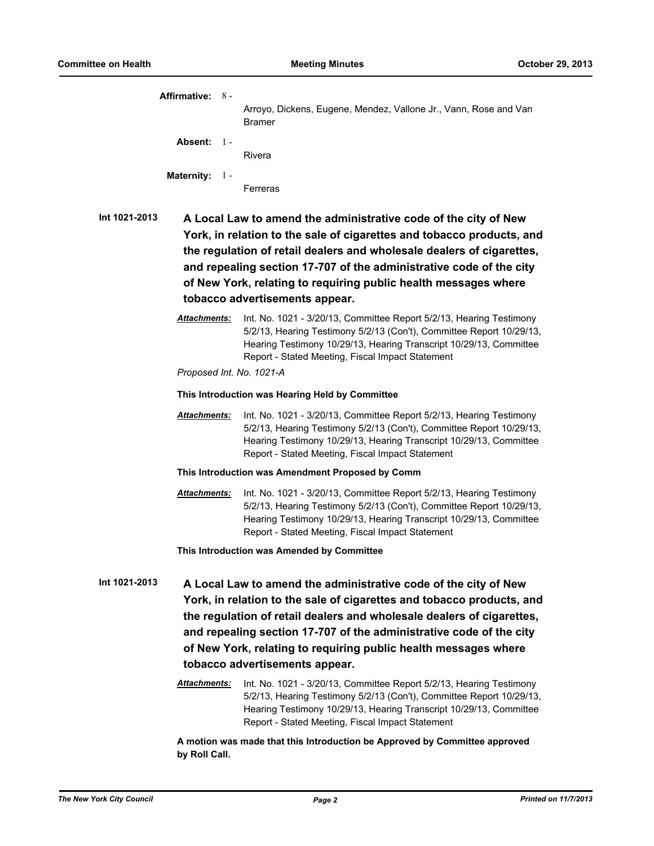|               | Affirmative: 8 -                                                                                                                                                                                                                                                                                                                                                                              |                                                                                                                                                                                                                                                                       |  |  |
|---------------|-----------------------------------------------------------------------------------------------------------------------------------------------------------------------------------------------------------------------------------------------------------------------------------------------------------------------------------------------------------------------------------------------|-----------------------------------------------------------------------------------------------------------------------------------------------------------------------------------------------------------------------------------------------------------------------|--|--|
|               |                                                                                                                                                                                                                                                                                                                                                                                               | Arroyo, Dickens, Eugene, Mendez, Vallone Jr., Vann, Rose and Van<br><b>Bramer</b>                                                                                                                                                                                     |  |  |
|               | Absent: 1 -                                                                                                                                                                                                                                                                                                                                                                                   | Rivera                                                                                                                                                                                                                                                                |  |  |
|               | <b>Maternity:</b><br>- 1 -                                                                                                                                                                                                                                                                                                                                                                    | Ferreras                                                                                                                                                                                                                                                              |  |  |
| Int 1021-2013 | A Local Law to amend the administrative code of the city of New<br>York, in relation to the sale of cigarettes and tobacco products, and<br>the regulation of retail dealers and wholesale dealers of cigarettes,<br>and repealing section 17-707 of the administrative code of the city<br>of New York, relating to requiring public health messages where<br>tobacco advertisements appear. |                                                                                                                                                                                                                                                                       |  |  |
|               | Attachments:                                                                                                                                                                                                                                                                                                                                                                                  | Int. No. 1021 - 3/20/13, Committee Report 5/2/13, Hearing Testimony<br>5/2/13, Hearing Testimony 5/2/13 (Con't), Committee Report 10/29/13,<br>Hearing Testimony 10/29/13, Hearing Transcript 10/29/13, Committee<br>Report - Stated Meeting, Fiscal Impact Statement |  |  |
|               | Proposed Int. No. 1021-A                                                                                                                                                                                                                                                                                                                                                                      |                                                                                                                                                                                                                                                                       |  |  |
|               | This Introduction was Hearing Held by Committee                                                                                                                                                                                                                                                                                                                                               |                                                                                                                                                                                                                                                                       |  |  |
|               | <b>Attachments:</b>                                                                                                                                                                                                                                                                                                                                                                           | Int. No. 1021 - 3/20/13, Committee Report 5/2/13, Hearing Testimony<br>5/2/13, Hearing Testimony 5/2/13 (Con't), Committee Report 10/29/13,<br>Hearing Testimony 10/29/13, Hearing Transcript 10/29/13, Committee<br>Report - Stated Meeting, Fiscal Impact Statement |  |  |
|               | This Introduction was Amendment Proposed by Comm                                                                                                                                                                                                                                                                                                                                              |                                                                                                                                                                                                                                                                       |  |  |
|               | <u> Attachments:</u>                                                                                                                                                                                                                                                                                                                                                                          | Int. No. 1021 - 3/20/13, Committee Report 5/2/13, Hearing Testimony<br>5/2/13, Hearing Testimony 5/2/13 (Con't), Committee Report 10/29/13,<br>Hearing Testimony 10/29/13, Hearing Transcript 10/29/13, Committee<br>Report - Stated Meeting, Fiscal Impact Statement |  |  |
|               |                                                                                                                                                                                                                                                                                                                                                                                               | This Introduction was Amended by Committee                                                                                                                                                                                                                            |  |  |
| Int 1021-2013 | A Local Law to amend the administrative code of the city of New<br>York, in relation to the sale of cigarettes and tobacco products, and<br>the regulation of retail dealers and wholesale dealers of cigarettes,<br>and repealing section 17-707 of the administrative code of the city<br>of New York, relating to requiring public health messages where<br>tobacco advertisements appear. |                                                                                                                                                                                                                                                                       |  |  |
|               | <b>Attachments:</b>                                                                                                                                                                                                                                                                                                                                                                           | Int. No. 1021 - 3/20/13, Committee Report 5/2/13, Hearing Testimony<br>5/2/13, Hearing Testimony 5/2/13 (Con't), Committee Report 10/29/13,<br>Hearing Testimony 10/29/13, Hearing Transcript 10/29/13, Committee<br>Report - Stated Meeting, Fiscal Impact Statement |  |  |
|               |                                                                                                                                                                                                                                                                                                                                                                                               | A motion was made that this Introduction be Approved by Committee approved                                                                                                                                                                                            |  |  |

**by Roll Call.**